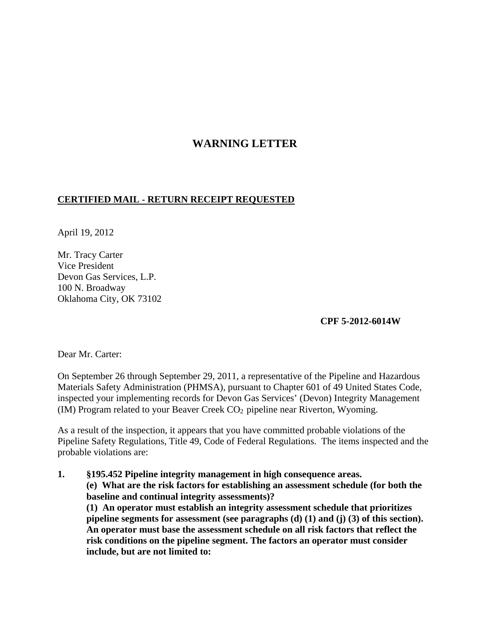# **WARNING LETTER**

### **CERTIFIED MAIL - RETURN RECEIPT REQUESTED**

April 19, 2012

Mr. Tracy Carter Vice President Devon Gas Services, L.P. 100 N. Broadway Oklahoma City, OK 73102

**CPF 5-2012-6014W**

Dear Mr. Carter:

On September 26 through September 29, 2011, a representative of the Pipeline and Hazardous Materials Safety Administration (PHMSA), pursuant to Chapter 601 of 49 United States Code, inspected your implementing records for Devon Gas Services' (Devon) Integrity Management (IM) Program related to your Beaver Creek  $CO<sub>2</sub>$  pipeline near Riverton, Wyoming.

As a result of the inspection, it appears that you have committed probable violations of the Pipeline Safety Regulations, Title 49, Code of Federal Regulations. The items inspected and the probable violations are:

**1. §195.452 Pipeline integrity management in high consequence areas. (e) What are the risk factors for establishing an assessment schedule (for both the baseline and continual integrity assessments)? (1) An operator must establish an integrity assessment schedule that prioritizes pipeline segments for assessment (see paragraphs (d) (1) and (j) (3) of this section). An operator must base the assessment schedule on all risk factors that reflect the risk conditions on the pipeline segment. The factors an operator must consider include, but are not limited to:**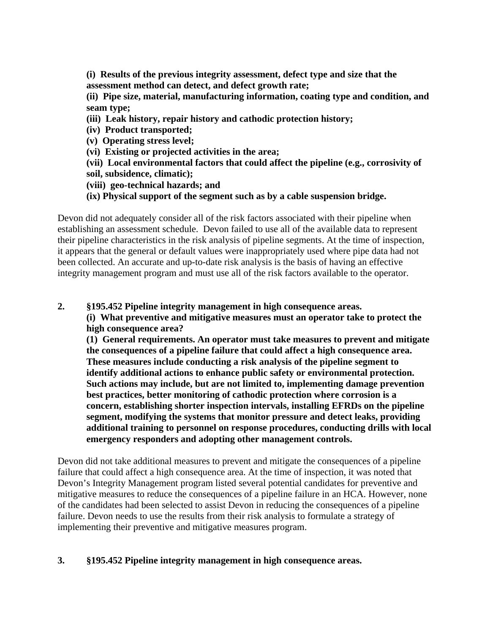**(i) Results of the previous integrity assessment, defect type and size that the assessment method can detect, and defect growth rate;**

**(ii) Pipe size, material, manufacturing information, coating type and condition, and seam type;**

**(iii) Leak history, repair history and cathodic protection history;**

**(iv) Product transported;**

**(v) Operating stress level;**

**(vi) Existing or projected activities in the area;**

**(vii) Local environmental factors that could affect the pipeline (e.g., corrosivity of soil, subsidence, climatic);**

**(viii) geo-technical hazards; and**

**(ix) Physical support of the segment such as by a cable suspension bridge.**

Devon did not adequately consider all of the risk factors associated with their pipeline when establishing an assessment schedule. Devon failed to use all of the available data to represent their pipeline characteristics in the risk analysis of pipeline segments. At the time of inspection, it appears that the general or default values were inappropriately used where pipe data had not been collected. An accurate and up-to-date risk analysis is the basis of having an effective integrity management program and must use all of the risk factors available to the operator.

### **2. §195.452 Pipeline integrity management in high consequence areas.**

**(i) What preventive and mitigative measures must an operator take to protect the high consequence area?** 

**(1) General requirements. An operator must take measures to prevent and mitigate the consequences of a pipeline failure that could affect a high consequence area. These measures include conducting a risk analysis of the pipeline segment to identify additional actions to enhance public safety or environmental protection. Such actions may include, but are not limited to, implementing damage prevention best practices, better monitoring of cathodic protection where corrosion is a concern, establishing shorter inspection intervals, installing EFRDs on the pipeline segment, modifying the systems that monitor pressure and detect leaks, providing additional training to personnel on response procedures, conducting drills with local emergency responders and adopting other management controls.**

Devon did not take additional measures to prevent and mitigate the consequences of a pipeline failure that could affect a high consequence area. At the time of inspection, it was noted that Devon's Integrity Management program listed several potential candidates for preventive and mitigative measures to reduce the consequences of a pipeline failure in an HCA. However, none of the candidates had been selected to assist Devon in reducing the consequences of a pipeline failure. Devon needs to use the results from their risk analysis to formulate a strategy of implementing their preventive and mitigative measures program.

## **3. §195.452 Pipeline integrity management in high consequence areas.**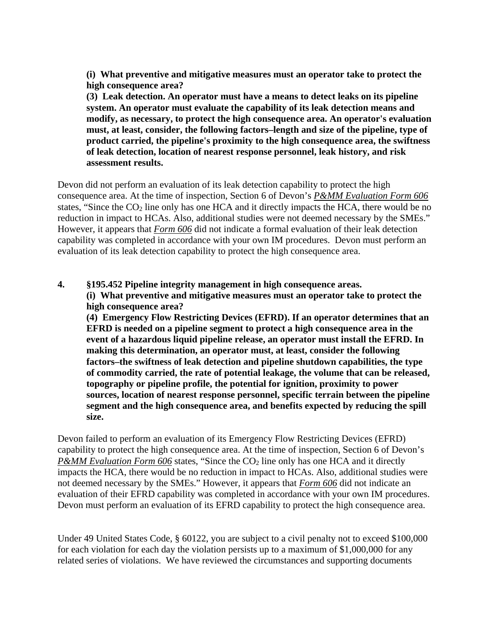**(i) What preventive and mitigative measures must an operator take to protect the high consequence area?**

**(3) Leak detection. An operator must have a means to detect leaks on its pipeline system. An operator must evaluate the capability of its leak detection means and modify, as necessary, to protect the high consequence area. An operator's evaluation must, at least, consider, the following factors–length and size of the pipeline, type of product carried, the pipeline's proximity to the high consequence area, the swiftness of leak detection, location of nearest response personnel, leak history, and risk assessment results.** 

Devon did not perform an evaluation of its leak detection capability to protect the high consequence area. At the time of inspection, Section 6 of Devon's *P&MM Evaluation Form 606* states, "Since the  $CO<sub>2</sub>$  line only has one HCA and it directly impacts the HCA, there would be no reduction in impact to HCAs. Also, additional studies were not deemed necessary by the SMEs." However, it appears that *Form 606* did not indicate a formal evaluation of their leak detection capability was completed in accordance with your own IM procedures. Devon must perform an evaluation of its leak detection capability to protect the high consequence area.

### **4. §195.452 Pipeline integrity management in high consequence areas.**

**(i) What preventive and mitigative measures must an operator take to protect the high consequence area?**

**(4) Emergency Flow Restricting Devices (EFRD). If an operator determines that an EFRD is needed on a pipeline segment to protect a high consequence area in the event of a hazardous liquid pipeline release, an operator must install the EFRD. In making this determination, an operator must, at least, consider the following factors–the swiftness of leak detection and pipeline shutdown capabilities, the type of commodity carried, the rate of potential leakage, the volume that can be released, topography or pipeline profile, the potential for ignition, proximity to power sources, location of nearest response personnel, specific terrain between the pipeline segment and the high consequence area, and benefits expected by reducing the spill size.**

Devon failed to perform an evaluation of its Emergency Flow Restricting Devices (EFRD) capability to protect the high consequence area. At the time of inspection, Section 6 of Devon's *P&MM Evaluation Form 606* states, "Since the CO<sub>2</sub> line only has one HCA and it directly impacts the HCA, there would be no reduction in impact to HCAs. Also, additional studies were not deemed necessary by the SMEs." However, it appears that *Form 606* did not indicate an evaluation of their EFRD capability was completed in accordance with your own IM procedures. Devon must perform an evaluation of its EFRD capability to protect the high consequence area.

Under 49 United States Code, § 60122, you are subject to a civil penalty not to exceed \$100,000 for each violation for each day the violation persists up to a maximum of \$1,000,000 for any related series of violations. We have reviewed the circumstances and supporting documents